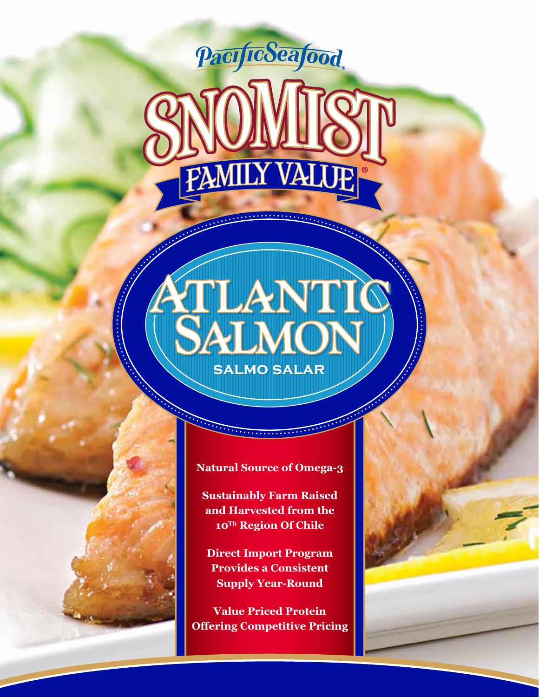

# VTLANTIC **salmo salar salmo salar**

#### **Natural Source of Omega-3**

**Professional Committee** 

**Sustainably Farm Raised and Harvested from the 10Th Region Of Chile**

**Direct Import Program Provides a Consistent Supply Year-Round**

**Value Priced Protein Offering Competitive Pricing**